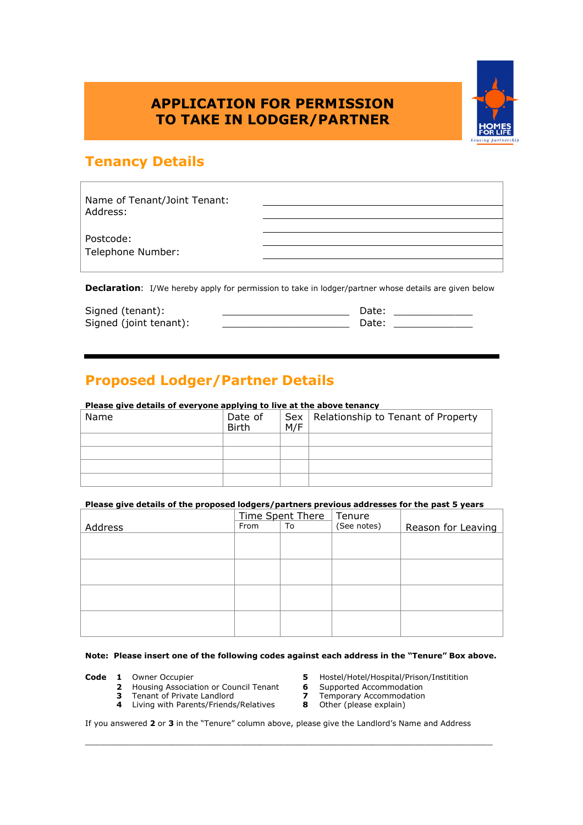## **APPLICATION FOR PERMISSION TO TAKE IN LODGER/PARTNER**



## **Tenancy Details**

| Name of Tenant/Joint Tenant: |  |
|------------------------------|--|
| Address:                     |  |
|                              |  |
| Postcode:                    |  |
| Telephone Number:            |  |
|                              |  |

**Declaration:** I/We hereby apply for permission to take in lodger/partner whose details are given below

| Signed (tenant):       | Date: |
|------------------------|-------|
| Signed (joint tenant): | Date: |
|                        |       |

# **Proposed Lodger/Partner Details**

| Please give details of everyone applying to live at the above tenancy |                         |     |                                          |  |
|-----------------------------------------------------------------------|-------------------------|-----|------------------------------------------|--|
| Name                                                                  | Date of<br><b>Birth</b> | M/F | Sex   Relationship to Tenant of Property |  |
|                                                                       |                         |     |                                          |  |
|                                                                       |                         |     |                                          |  |
|                                                                       |                         |     |                                          |  |
|                                                                       |                         |     |                                          |  |

#### **Please give details of the proposed lodgers/partners previous addresses for the past 5 years**

|         | Time Spent There |    | Tenure      |                    |
|---------|------------------|----|-------------|--------------------|
| Address | From             | To | (See notes) | Reason for Leaving |
|         |                  |    |             |                    |
|         |                  |    |             |                    |
|         |                  |    |             |                    |
|         |                  |    |             |                    |
|         |                  |    |             |                    |
|         |                  |    |             |                    |
|         |                  |    |             |                    |
|         |                  |    |             |                    |

#### **Note: Please insert one of the following codes against each address in the "Tenure" Box above.**

- -
	- **2** Housing Association or Council Tenant **6** Supported Accommodation<br>**3** Tenant of Private Landlord **7** Temporary Accommodation
	- **4** Living with Parents/Friends/Relatives
- **Code 1** Owner Occupier **5** Hostel/Hotel/Hospital/Prison/Institition
	-
	- **7** Temporary Accommodation<br>**8** Other (please explain)
	-

If you answered **2** or **3** in the "Tenure" column above, please give the Landlord's Name and Address